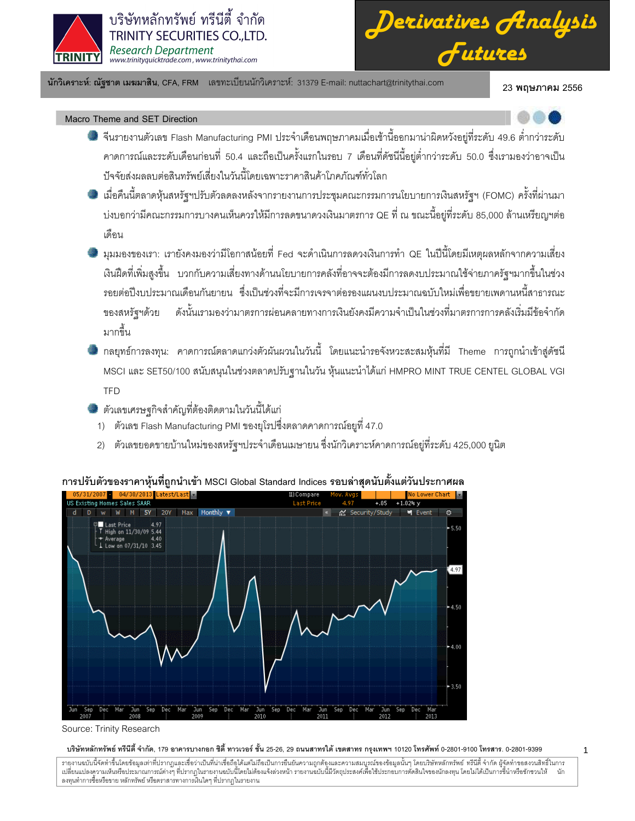

*Derivatives Analysis Futures*

นักวิเคราะห์: ณัฐชาต เมฆมาสิน, CFA, FRM แลขทะเบียนนักวิเคราะห์: 31379 E-mail: nuttachart@trinitythai.com 23 **พ** 

23 พฤษภาคม 2556

1

Macro Theme and SET Direction

- จีนรายงานตัวเลข Flash Manufacturing PMI ประจำเดือนพฤษภาคมเมื่อเช้านี้ออกมาน่าผิดหวังอยู่ที่ระดับ 49.6 ต่ำกว่าระดับ คาดการณ์และระดับเดือนก่อนที่ 50.4 และถือเป็นครั้งแรกในรอบ 7 เดือนที่ดัชนีนี้อยู่ต่ำกว่าระดับ 50.0 ซึ่งเรามองว่าอาจเป็น ปัจจัยส่งผลลบต่อสินทรัพย์เสี่ยงในวันนี้โดยเฉพาะราคาสินค้าโภคภัณฑ์ทั่วโลก
- เมื่อคืนนี้ตลาดหุ้นสหรัฐฯปรับตัวลดลงหลังจากรายงานการประชุมคณะกรรมการนโยบายการเงินสหรัฐฯ (FOMC) ครั้งที่ผ่านมา บ่งบอกว่ามีคณะกรรมการบางคนเห็นควรให้มีการลดขนาดวงเงินมาตรการ QE ที่ ณ ขณะนี้อยู่ที่ระดับ 85,000 ล้านเหรียญฯต่อ ֧֚֚֝<br>֧֚֝ เด็คน
- มุมมองของเรา: เรายังคงมองว่ามีโอกาสน้อยที่ Fed จะดำเนินการลดวงเงินการทำ QE ในปีนี้โดยมีเหตุผลหลักจากความเสี่ยง เงินฝืดที่เพิ่มสูงขึ้น บวกกับความเสี่ยงทางด้านนโยบายการคลังที่อาจจะต้องมีการลดงบประมาณใช้จ่ายภาครัฐฯมากขึ้นในช่วง รอยต่อปีงบประมาณเดือนกันยายน ซึ่งเป็นช่วงที่จะมีการเจรจาต่อรองแผนงบประมาณฉบับใหม่เพื่อขยายเพดานหนี้สาธารณะ ของสหรัฐฯด้วย ์ฐฯด้วย ดังนั้นเรามองว่ามาตรการผ่อนคลายทางการเงินยังคงมีความจำเป็นในช่วงที่มาตรการการคลังเริ่มมีข้อจำกัด มากขึ้น
- กลยุทธ์การลงทุน: คาดการณ์ตลาดแกว่งตัวผันผวนในวันนี้ โดยแนะนำรอจังหวะสะสมหุ้นที่มี Theme การถูกนำเข้าสู่ดัชนี MSCI และ SET50/100 สนับสนุนในช่วงตลาดปรับฐานในวัน หุ้นแนะนำได้แก่ HMPRO MINT TRUE CENTEL GLOBAL VGI **TFD**
- ตัวเลขเศรษฐกิจสำคัญที่ต้องติดตามในวันนี้ได้แก่
- 1) ตัวเลข Flash Manufacturing PMI ของยุโรปซึ่งตลาดคาดการณ์อยูที่ 47.0
- 2) ตัวเลขยอดขายบ้านใหม่ของสหรัฐฯประจำเดือนเมษายน ซึ่งนักวิเคราะห์คาดการณ์อยู่ที่ระดับ 425,000 ยูนิต



# การปรับตัวของราคาหุ้นที่ถูกนำเข้า MSCI Global Standard Indices รอบล่าสุดนับตั้งแต่วันประกาศผล

## บริษัทหลักทรัพย์ ทรีนีตี้ จำกัด, 179 อาคารบางกอก ซิตี้ ทาวเวอร์ ชั้น 25-26, 29 ถนนสาทรได้ เขตสาร กรุงเทพฯ 10120 โทรศัพท์ 0-2801-9399 คำสาร. 0-2801-9399

Source: Trinity Research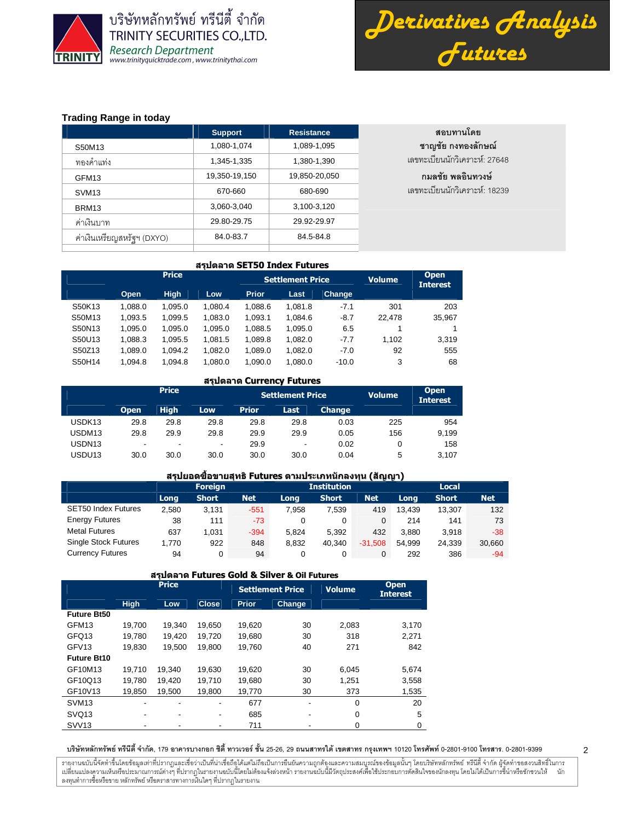



2

# **Trading Range in today**

|                            | <b>Support</b> | <b>Resistance</b> | สอบทานโดย                     |
|----------------------------|----------------|-------------------|-------------------------------|
| S50M13                     | 1,080-1,074    | 1,089-1,095       | ชาญชัย กงทองลักษณ์            |
| ทองคำแท่ง                  | 1,345-1,335    | 1,380-1,390       | เลขทะเบียนนักวิเคราะห์: 27648 |
| GFM <sub>13</sub>          | 19,350-19,150  | 19,850-20,050     | กมลชัย พลอินทวงษ์             |
| SVM <sub>13</sub>          | 670-660        | 680-690           | เลขทะเบียนนักวิเคราะห์: 18239 |
| BRM <sub>13</sub>          | 3,060-3,040    | 3,100-3,120       |                               |
| ค่าเงินบาท                 | 29.80-29.75    | 29.92-29.97       |                               |
| ค่าเงินเหรียญสหรัฐฯ (DXYO) | 84.0-83.7      | 84.5-84.8         |                               |
|                            |                |                   |                               |

#### สรุปตลาด SET50 Index Futures

|        |         | <b>Price</b> |         |              | <b>Settlement Price</b> | <b>Volume</b> | <b>Open</b><br><b>Interest</b> |        |
|--------|---------|--------------|---------|--------------|-------------------------|---------------|--------------------------------|--------|
|        | Open    | <b>High</b>  | Low     | <b>Prior</b> | Last                    | <b>Change</b> |                                |        |
| S50K13 | 1.088.0 | 1.095.0      | 1.080.4 | 1.088.6      | 1.081.8                 | $-7.1$        | 301                            | 203    |
| S50M13 | 1.093.5 | 1.099.5      | 1.083.0 | 1.093.1      | 1.084.6                 | $-8.7$        | 22.478                         | 35,967 |
| S50N13 | 1.095.0 | 1.095.0      | 1.095.0 | 1.088.5      | 1,095.0                 | 6.5           |                                |        |
| S50U13 | 1.088.3 | 1.095.5      | 1.081.5 | 1.089.8      | 1.082.0                 | $-7.7$        | 1.102                          | 3.319  |
| S50Z13 | 1.089.0 | 1.094.2      | 1.082.0 | 1.089.0      | 1.082.0                 | $-7.0$        | 92                             | 555    |
| S50H14 | 1.094.8 | 1.094.8      | 1.080.0 | 1.090.0      | 1.080.0                 | $-10.0$       | 3                              | 68     |

#### สรุปตลาด Currency Futures

|                    |             | <b>Price</b> |            |              | <b>Settlement Price</b> |               | <b>Volume</b> | <b>Open</b><br><b>Interest</b> |
|--------------------|-------------|--------------|------------|--------------|-------------------------|---------------|---------------|--------------------------------|
|                    | <b>Open</b> | <b>High</b>  | <b>Low</b> | <b>Prior</b> | Last                    | <b>Change</b> |               |                                |
| USDK <sub>13</sub> | 29.8        | 29.8         | 29.8       | 29.8         | 29.8                    | 0.03          | 225           | 954                            |
| USDM13             | 29.8        | 29.9         | 29.8       | 29.9         | 29.9                    | 0.05          | 156           | 9.199                          |
| USDN <sub>13</sub> | ۰           | ۰            | -          | 29.9         | -                       | 0.02          | 0             | 158                            |
| USDU <sub>13</sub> | 30.0        | 30.0         | 30.0       | 30.0         | 30.0                    | 0.04          | 5             | 3.107                          |

## ี่สรุปยอดชื้อขายสุทธิ Futures ตามประเภทนักลงทุน (สัญญา)

|                             |       | <b>Foreign</b> |            |       | Institution |            | Local  |              |            |  |
|-----------------------------|-------|----------------|------------|-------|-------------|------------|--------|--------------|------------|--|
|                             | Long  | <b>Short</b>   | <b>Net</b> | Long  | Short       | <b>Net</b> | Long   | <b>Short</b> | <b>Net</b> |  |
| <b>SET50 Index Futures</b>  | 2,580 | 3.131          | $-551$     | 7.958 | 7,539       | 419        | 13.439 | 13.307       | 132        |  |
| <b>Energy Futures</b>       | 38    | 111            | $-73$      |       |             |            | 214    | 141          | 73         |  |
| <b>Metal Futures</b>        | 637   | 1.031          | $-394$     | 5.824 | 5.392       | 432        | 3.880  | 3.918        | $-38$      |  |
| <b>Single Stock Futures</b> | 1.770 | 922            | 848        | 8.832 | 40.340      | $-31.508$  | 54.999 | 24.339       | 30,660     |  |
| <b>Currency Futures</b>     | 94    | 0              | 94         |       |             | 0          | 292    | 386          | $-94$      |  |

|                    | สรุปตลาด Futures Gold & Silver & Oil Futures |              |              |              |                         |               |                                |  |  |  |  |  |  |
|--------------------|----------------------------------------------|--------------|--------------|--------------|-------------------------|---------------|--------------------------------|--|--|--|--|--|--|
|                    |                                              | <b>Price</b> |              |              | <b>Settlement Price</b> | <b>Volume</b> | <b>Open</b><br><b>Interest</b> |  |  |  |  |  |  |
|                    | <b>High</b>                                  | Low          | <b>Close</b> | <b>Prior</b> | Change                  |               |                                |  |  |  |  |  |  |
| <b>Future Bt50</b> |                                              |              |              |              |                         |               |                                |  |  |  |  |  |  |
| GFM <sub>13</sub>  | 19.700                                       | 19.340       | 19,650       | 19,620       | 30                      | 2,083         | 3,170                          |  |  |  |  |  |  |
| GFQ13              | 19.780                                       | 19,420       | 19.720       | 19,680       | 30                      | 318           | 2,271                          |  |  |  |  |  |  |
| GFV <sub>13</sub>  | 19.830                                       | 19,500       | 19.800       | 19.760       | 40                      | 271           | 842                            |  |  |  |  |  |  |
| <b>Future Bt10</b> |                                              |              |              |              |                         |               |                                |  |  |  |  |  |  |
| GF10M13            | 19.710                                       | 19.340       | 19.630       | 19,620       | 30                      | 6,045         | 5,674                          |  |  |  |  |  |  |
| GF10Q13            | 19.780                                       | 19.420       | 19.710       | 19.680       | 30                      | 1.251         | 3,558                          |  |  |  |  |  |  |
| GF10V13            | 19,850                                       | 19,500       | 19,800       | 19,770       | 30                      | 373           | 1,535                          |  |  |  |  |  |  |
| SVM <sub>13</sub>  |                                              |              |              | 677          | ٠                       | $\Omega$      | 20                             |  |  |  |  |  |  |
| SVQ <sub>13</sub>  | $\blacksquare$                               |              | ۰            | 685          | ٠                       | 0             | 5                              |  |  |  |  |  |  |
| <b>SVV13</b>       |                                              |              |              | 711          |                         | 0             | 0                              |  |  |  |  |  |  |

บริษัทหลักทรัพย์ ทรีนีตี้ จำกัด, 179 อาคารบางกอก ซิตี้ ทาวเวอร์ ชั้น 25-26, 29 ถนนสาทรได้ เขตสาร กรุงเทพฯ 10120 โทรศัพท์ 0-2801-9399 คำสาร. 0-2801-9399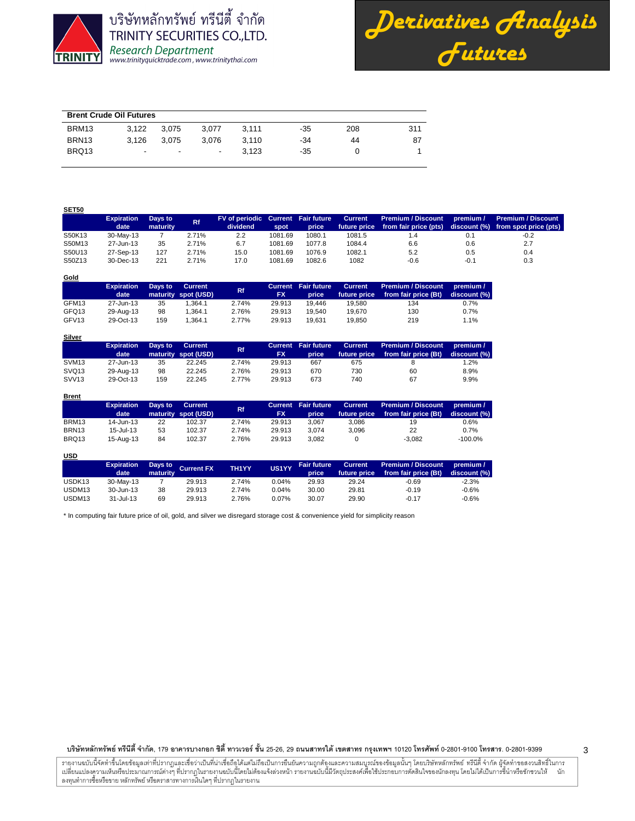



| <b>Brent Crude Oil Futures</b> |                          |                          |                          |       |     |     |     |  |  |  |  |
|--------------------------------|--------------------------|--------------------------|--------------------------|-------|-----|-----|-----|--|--|--|--|
| BRM <sub>13</sub>              | 3.122                    | 3.075                    | 3.077                    | 3.111 | -35 | 208 | 311 |  |  |  |  |
| BRN <sub>13</sub>              | 3.126                    | 3.075                    | 3.076                    | 3.110 | -34 | 44  | 87  |  |  |  |  |
| BRQ13                          | $\overline{\phantom{0}}$ | $\overline{\phantom{a}}$ | $\overline{\phantom{a}}$ | 3.123 | -35 |     |     |  |  |  |  |

| <b>SET50</b> |                   |          |           |                                    |         |        |                |                           |           |                                    |
|--------------|-------------------|----------|-----------|------------------------------------|---------|--------|----------------|---------------------------|-----------|------------------------------------|
|              | <b>Expiration</b> | Days to  | <b>Rf</b> | FV of periodic Current Fair future |         |        | <b>Current</b> | <b>Premium / Discount</b> | premium / | <b>Premium / Discount</b>          |
|              | date              | maturity |           | dividend                           | spot.   | price  | future price   | from fair price (pts)     |           | discount (%) from spot price (pts) |
| S50K13       | 30-May-13         |          | 2.71%     | 2.2                                | 1081.69 | 1080.1 | 1081.5         | 1.4                       |           | $-0.2$                             |
| S50M13       | 27-Jun-13         | 35       | 2.71%     | 6.7                                | 1081.69 | 1077.8 | 1084.4         | 6.6                       | 0.6       | 2.7                                |
| S50U13       | 27-Sep-13         | 127      | 2.71%     | 15.0                               | 1081.69 | 1076.9 | 1082.1         | 5.2                       | 0.5       | 0.4                                |
| S50Z13       | 30-Dec-13         | 221      | 2.71%     | 17.0                               | 1081.69 | 1082.6 | 1082           | $-0.6$                    | $-0.1$    | 0.3                                |

| Gold              |                   |         |                     |       |           |                            |                |                      |              |
|-------------------|-------------------|---------|---------------------|-------|-----------|----------------------------|----------------|----------------------|--------------|
|                   | <b>Expiration</b> | Days to | <b>Current</b>      | Rf.   |           | <b>Current</b> Fair future | <b>Current</b> | Premium / Discount   | premium /    |
|                   | date              |         | maturity spot (USD) |       | <b>FX</b> | price                      | future price   | from fair price (Bt) | discount (%) |
| GFM13             | 27-Jun-13         | 35      | 1.364.1             | 2.74% | 29.913    | 19.446                     | 19.580         | 134                  | 0.7%         |
| GFQ13             | 29-Aug-13         | 98      | 1.364.1             | 2.76% | 29.913    | 19.540                     | 19.670         | 130                  | 0.7%         |
| GFV <sub>13</sub> | 29-Oct-13         | 159     | 1.364.1             | 2.77% | 29.913    | 19.631                     | 19.850         | 219                  | 1.1%         |

| <b>Silver</b>     |                   |         |                                       |       |           |                            |                |                                                                |                           |
|-------------------|-------------------|---------|---------------------------------------|-------|-----------|----------------------------|----------------|----------------------------------------------------------------|---------------------------|
|                   | <b>Expiration</b> | Days to | <b>Current</b><br>maturity spot (USD) | Rf    | <b>FX</b> | <b>Current</b> Fair future | <b>Current</b> | <b>Premium / Discount</b><br>future price from fair price (Bt) | premium /<br>discount (%) |
|                   | date              |         |                                       |       |           | price                      |                |                                                                |                           |
| SVM <sub>13</sub> | 27-Jun-13         | 35      | 22.245                                | 2.74% | 29.913    | 667                        | 675            |                                                                | 1.2%                      |
| SVQ <sub>13</sub> | 29-Aug-13         | 98      | 22.245                                | 2.76% | 29.913    | 670                        | 730            | 60                                                             | 8.9%                      |
| SVV <sub>13</sub> | 29-Oct-13         | 159     | 22.245                                | 2.77% | 29.913    | 673                        | 740            | 67                                                             | 9.9%                      |

| <b>Brent</b>      |                              |    |                     |           |           |                            |                |                           |              |
|-------------------|------------------------------|----|---------------------|-----------|-----------|----------------------------|----------------|---------------------------|--------------|
|                   | Days to<br><b>Expiration</b> |    | <b>Current</b>      | <b>Rf</b> |           | <b>Current</b> Fair future | <b>Current</b> | <b>Premium / Discount</b> | premium /    |
|                   | date                         |    | maturity spot (USD) |           | <b>FX</b> | price                      | future price   | from fair price (Bt)      | discount (%) |
| BRM13             | 14-Jun-13                    | 22 | 102.37              | 2.74%     | 29.913    | 3.067                      | 3.086          | 19                        | 0.6%         |
| BRN <sub>13</sub> | $15 -$ Jul-13                | 53 | 102.37              | 2.74%     | 29.913    | 3.074                      | 3.096          | 22                        | 0.7%         |
| BRQ13             | 15-Aug-13                    | 84 | 102.37              | 2.76%     | 29.913    | 3.082                      |                | $-3.082$                  | $-100.0\%$   |

**USD**

|                    | <b>Expiration</b><br>date |    | Days to<br>maturity Current FX | TH <sub>1</sub> YY | US1YY | <b>Fair future</b><br>price | Current ( | Premium / Discount<br>future price from fair price (Bt) | premium $\Gamma$<br>discount (%) |
|--------------------|---------------------------|----|--------------------------------|--------------------|-------|-----------------------------|-----------|---------------------------------------------------------|----------------------------------|
| USDK <sub>13</sub> | 30-May-13                 |    | 29.913                         | 2.74%              | 0.04% | 29.93                       | 29.24     | $-0.69$                                                 | $-2.3%$                          |
| USDM13             | 30-Jun-13                 | 38 | 29.913                         | 2.74%              | 0.04% | 30.00                       | 29.81     | $-0.19$                                                 | $-0.6%$                          |
| USDM13             | 31-Jul-13                 | 69 | 29.913                         | 2.76%              | 0.07% | 30.07                       | 29.90     | $-0.17$                                                 | $-0.6%$                          |

\* In computing fair future price of oil, gold, and silver we disregard storage cost & convenience yield for simplicity reason

บริษัทหลักทรัพย์ ทรีนีตี้ จำกัด, 179 อาคารบางกอก ซิตี้ ทาวเวอร์ ชั้น 25-26, 29 ถนนสาทรได้ เขตสาร กรุงเทพฯ 10120 โทรศัพท์ 0-2801-9399 คำสาร. 0-2801-9399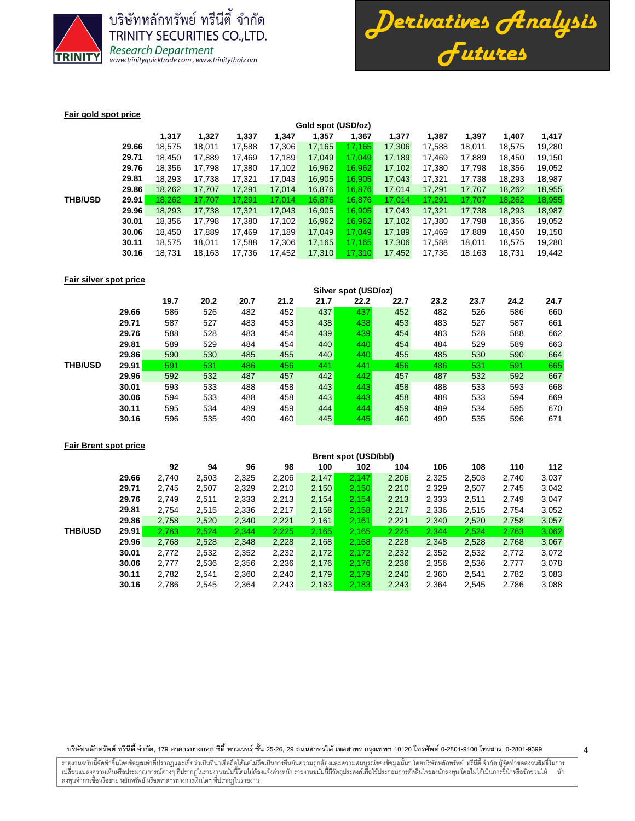



4

#### **Fair gold spot price**

|                |       | Gold spot (USD/oz) |        |        |        |        |        |        |        |        |        |        |  |
|----------------|-------|--------------------|--------|--------|--------|--------|--------|--------|--------|--------|--------|--------|--|
|                |       | 1,317              | 1,327  | 1,337  | 1,347  | 1,357  | 1,367  | 1,377  | 1,387  | 1,397  | 1,407  | 1,417  |  |
|                | 29.66 | 18,575             | 18.011 | 17.588 | 17,306 | 17,165 | 17.165 | 17,306 | 17.588 | 18,011 | 18,575 | 19,280 |  |
|                | 29.71 | 18.450             | 17,889 | 17.469 | 17.189 | 17,049 | 17.049 | 17,189 | 17.469 | 17.889 | 18,450 | 19,150 |  |
|                | 29.76 | 18.356             | 17.798 | 17,380 | 17,102 | 16,962 | 16.962 | 17.102 | 17,380 | 17,798 | 18,356 | 19,052 |  |
|                | 29.81 | 18.293             | 17.738 | 17,321 | 17,043 | 16,905 | 16.905 | 17.043 | 17.321 | 17.738 | 18,293 | 18,987 |  |
|                | 29.86 | 18,262             | 17,707 | 17,291 | 17,014 | 16,876 | 16,876 | 17.014 | 17,291 | 17.707 | 18,262 | 18,955 |  |
| <b>THB/USD</b> | 29.91 | 18.262             | 17.707 | 17.291 | 17.014 | 16.876 | 16.876 | 17.014 | 17.291 | 17.707 | 18,262 | 18,955 |  |
|                | 29.96 | 18,293             | 17,738 | 17,321 | 17,043 | 16,905 | 16,905 | 17,043 | 17,321 | 17,738 | 18,293 | 18,987 |  |
|                | 30.01 | 18.356             | 17.798 | 17,380 | 17,102 | 16,962 | 16,962 | 17,102 | 17,380 | 17.798 | 18.356 | 19,052 |  |
|                | 30.06 | 18.450             | 17,889 | 17.469 | 17,189 | 17,049 | 17.049 | 17.189 | 17.469 | 17,889 | 18,450 | 19,150 |  |
|                | 30.11 | 18.575             | 18.011 | 17.588 | 17,306 | 17,165 | 17.165 | 17,306 | 17,588 | 18,011 | 18,575 | 19,280 |  |
|                | 30.16 | 18.731             | 18,163 | 17,736 | 17,452 | 17,310 | 17,310 | 17,452 | 17,736 | 18,163 | 18,731 | 19,442 |  |
|                |       |                    |        |        |        |        |        |        |        |        |        |        |  |

# **Fair silver spot price**

|                |       | Silver spot (USD/oz) |      |      |      |      |      |      |      |      |      |      |
|----------------|-------|----------------------|------|------|------|------|------|------|------|------|------|------|
|                |       | 19.7                 | 20.2 | 20.7 | 21.2 | 21.7 | 22.2 | 22.7 | 23.2 | 23.7 | 24.2 | 24.7 |
|                | 29.66 | 586                  | 526  | 482  | 452  | 437  | 437  | 452  | 482  | 526  | 586  | 660  |
|                | 29.71 | 587                  | 527  | 483  | 453  | 438  | 438  | 453  | 483  | 527  | 587  | 661  |
|                | 29.76 | 588                  | 528  | 483  | 454  | 439  | 439  | 454  | 483  | 528  | 588  | 662  |
|                | 29.81 | 589                  | 529  | 484  | 454  | 440  | 440  | 454  | 484  | 529  | 589  | 663  |
|                | 29.86 | 590                  | 530  | 485  | 455  | 440  | 440  | 455  | 485  | 530  | 590  | 664  |
| <b>THB/USD</b> | 29.91 | 591                  | 531  | 486  | 456  | 441  | 441  | 456  | 486  | 531  | 591  | 665  |
|                | 29.96 | 592                  | 532  | 487  | 457  | 442  | 442  | 457  | 487  | 532  | 592  | 667  |
|                | 30.01 | 593                  | 533  | 488  | 458  | 443  | 443  | 458  | 488  | 533  | 593  | 668  |
|                | 30.06 | 594                  | 533  | 488  | 458  | 443  | 443  | 458  | 488  | 533  | 594  | 669  |
|                | 30.11 | 595                  | 534  | 489  | 459  | 444  | 444  | 459  | 489  | 534  | 595  | 670  |
|                | 30.16 | 596                  | 535  | 490  | 460  | 445  | 445  | 460  | 490  | 535  | 596  | 671  |

## **Fair Brent spot price**

|                |       | <b>Brent spot (USD/bbl)</b> |       |       |       |       |       |       |       |       |       |       |
|----------------|-------|-----------------------------|-------|-------|-------|-------|-------|-------|-------|-------|-------|-------|
|                |       | 92                          | 94    | 96    | 98    | 100   | 102   | 104   | 106   | 108   | 110   | 112   |
|                | 29.66 | 2,740                       | 2,503 | 2,325 | 2,206 | 2,147 | 2,147 | 2,206 | 2,325 | 2,503 | 2,740 | 3,037 |
|                | 29.71 | 2.745                       | 2,507 | 2,329 | 2,210 | 2,150 | 2,150 | 2,210 | 2,329 | 2,507 | 2,745 | 3,042 |
|                | 29.76 | 2.749                       | 2,511 | 2,333 | 2,213 | 2,154 | 2.154 | 2.213 | 2,333 | 2,511 | 2,749 | 3,047 |
|                | 29.81 | 2.754                       | 2,515 | 2,336 | 2,217 | 2,158 | 2,158 | 2,217 | 2,336 | 2,515 | 2,754 | 3,052 |
|                | 29.86 | 2,758                       | 2,520 | 2,340 | 2,221 | 2,161 | 2,161 | 2,221 | 2,340 | 2,520 | 2,758 | 3,057 |
| <b>THB/USD</b> | 29.91 | 2,763                       | 2.524 | 2.344 | 2.225 | 2.165 | 2.165 | 2.225 | 2.344 | 2.524 | 2,763 | 3,062 |
|                | 29.96 | 2,768                       | 2,528 | 2,348 | 2,228 | 2,168 | 2,168 | 2,228 | 2,348 | 2,528 | 2,768 | 3,067 |
|                | 30.01 | 2,772                       | 2,532 | 2,352 | 2,232 | 2,172 | 2,172 | 2,232 | 2,352 | 2,532 | 2,772 | 3,072 |
|                | 30.06 | 2.777                       | 2,536 | 2,356 | 2,236 | 2,176 | 2.176 | 2,236 | 2,356 | 2,536 | 2,777 | 3,078 |
|                | 30.11 | 2.782                       | 2,541 | 2,360 | 2,240 | 2,179 | 2,179 | 2,240 | 2,360 | 2,541 | 2,782 | 3,083 |
|                | 30.16 | 2,786                       | 2,545 | 2,364 | 2,243 | 2,183 | 2,183 | 2,243 | 2,364 | 2,545 | 2,786 | 3,088 |
|                |       |                             |       |       |       |       |       |       |       |       |       |       |

บริษัทหลักทรัพย์ ทรีนีตี้ จำกัด, 179 อาคารบางกอก ซิตี้ ทาวเวอร์ ชั้น 25-26, 29 ถนนสาทรได้ เขตสาร กรุงเทพฯ 10120 โทรศัพท์ 0-2801-9399 คำสาร. 0-2801-9399